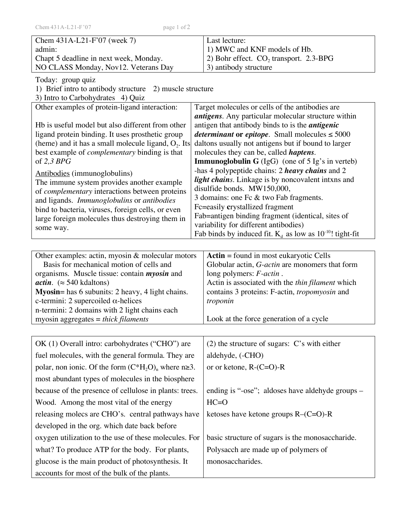| Chem 431A-L21-F'07<br>page 1 of 2                                                                              |                                                                                                       |
|----------------------------------------------------------------------------------------------------------------|-------------------------------------------------------------------------------------------------------|
| Chem 431A-L21-F'07 (week 7)                                                                                    | Last lecture:                                                                                         |
| admin:                                                                                                         | 1) MWC and KNF models of Hb.                                                                          |
| Chapt 5 deadline in next week, Monday.                                                                         | 2) Bohr effect. $CO2$ transport. 2.3-BPG                                                              |
| NO CLASS Monday, Nov12. Veterans Day                                                                           | 3) antibody structure                                                                                 |
| Today: group quiz<br>1) Brief intro to antibody structure<br>2) muscle structure                               |                                                                                                       |
| 3) Intro to Carbohydrates 4) Quiz                                                                              |                                                                                                       |
| Other examples of protein-ligand interaction:                                                                  | Target molecules or cells of the antibodies are                                                       |
|                                                                                                                | <i>antigens</i> . Any particular molecular structure within                                           |
| Hb is useful model but also different from other                                                               | antigen that antibody binds to is the <i>antigenic</i>                                                |
| ligand protein binding. It uses prosthetic group                                                               | <i>determinant</i> or <i>epitope</i> . Small molecules $\leq 5000$                                    |
| (heme) and it has a small molecule ligand, $O_2$ . Its<br>best example of <i>complementary</i> binding is that | daltons usually not antigens but if bound to larger<br>molecules they can be, called <i>haptens</i> . |
| of $2,3$ BPG                                                                                                   | <b>Immunoglobulin G</b> (IgG) (one of $5 \lg s$ in verteb)                                            |
| Antibodies (immunoglobulins)                                                                                   | -has 4 polypeptide chains: 2 heavy chains and 2                                                       |
| The immune system provides another example                                                                     | light chains. Linkage is by noncovalent intxns and                                                    |
| of <i>complementary</i> interactions between proteins                                                          | disulfide bonds. MW150,000,                                                                           |
| and ligands. Immunoglobulins or antibodies                                                                     | 3 domains: one Fc & two Fab fragments.<br>Fc=easily crystallized fragment                             |
| bind to bacteria, viruses, foreign cells, or even<br>large foreign molecules thus destroying them in           | Fab=antigen binding fragment (identical, sites of                                                     |
| some way.                                                                                                      | variability for different antibodies)                                                                 |
|                                                                                                                | Fab binds by induced fit. $K_d$ as low as 10 <sup>-10</sup> ! tight-fit                               |
|                                                                                                                |                                                                                                       |
| Other examples: actin, myosin & molecular motors                                                               | Actin = found in most eukaryotic Cells                                                                |
| Basis for mechanical motion of cells and<br>organisms. Muscle tissue: contain <i>myosin</i> and                | Globular actin, <i>G-actin</i> are monomers that form<br>long polymers: F-actin.                      |
| <i>actin.</i> ( $\approx$ 540 kdaltons)                                                                        | Actin is associated with the thin filament which                                                      |
| Myosin= has 6 subunits: 2 heavy, 4 light chains.                                                               | contains 3 proteins: F-actin, tropomyosin and                                                         |
| c-termini: 2 supercoiled $\alpha$ -helices                                                                     | troponin                                                                                              |
| n-termini: 2 domains with 2 light chains each                                                                  |                                                                                                       |
| myosin aggregates = thick filaments                                                                            | Look at the force generation of a cycle                                                               |
|                                                                                                                |                                                                                                       |
| OK (1) Overall intro: carbohydrates ("CHO") are                                                                | $(2)$ the structure of sugars: C's with either                                                        |
| fuel molecules, with the general formula. They are                                                             | aldehyde, (-CHO)                                                                                      |
| polar, non ionic. Of the form $(C^*H_2O)$ <sub>n</sub> where n  ightarrow $\geq 3$ .                           | or or ketone, $R$ - $(C=O)$ - $R$                                                                     |
| most abundant types of molecules in the biosphere                                                              |                                                                                                       |
| because of the presence of cellulose in plants: trees.                                                         | ending is "-ose"; aldoses have aldehyde groups -                                                      |
| Wood. Among the most vital of the energy                                                                       | $HC=O$                                                                                                |
| releasing molecs are CHO's. central pathways have                                                              | ketoses have ketone groups $R-(C=O)$ -R                                                               |
| developed in the org. which date back before                                                                   |                                                                                                       |
| oxygen utilization to the use of these molecules. For                                                          | basic structure of sugars is the monosaccharide.                                                      |
| what? To produce ATP for the body. For plants,                                                                 | Polysacch are made up of polymers of                                                                  |
| glucose is the main product of photosynthesis. It                                                              | monosaccharides.                                                                                      |
| accounts for most of the bulk of the plants.                                                                   |                                                                                                       |